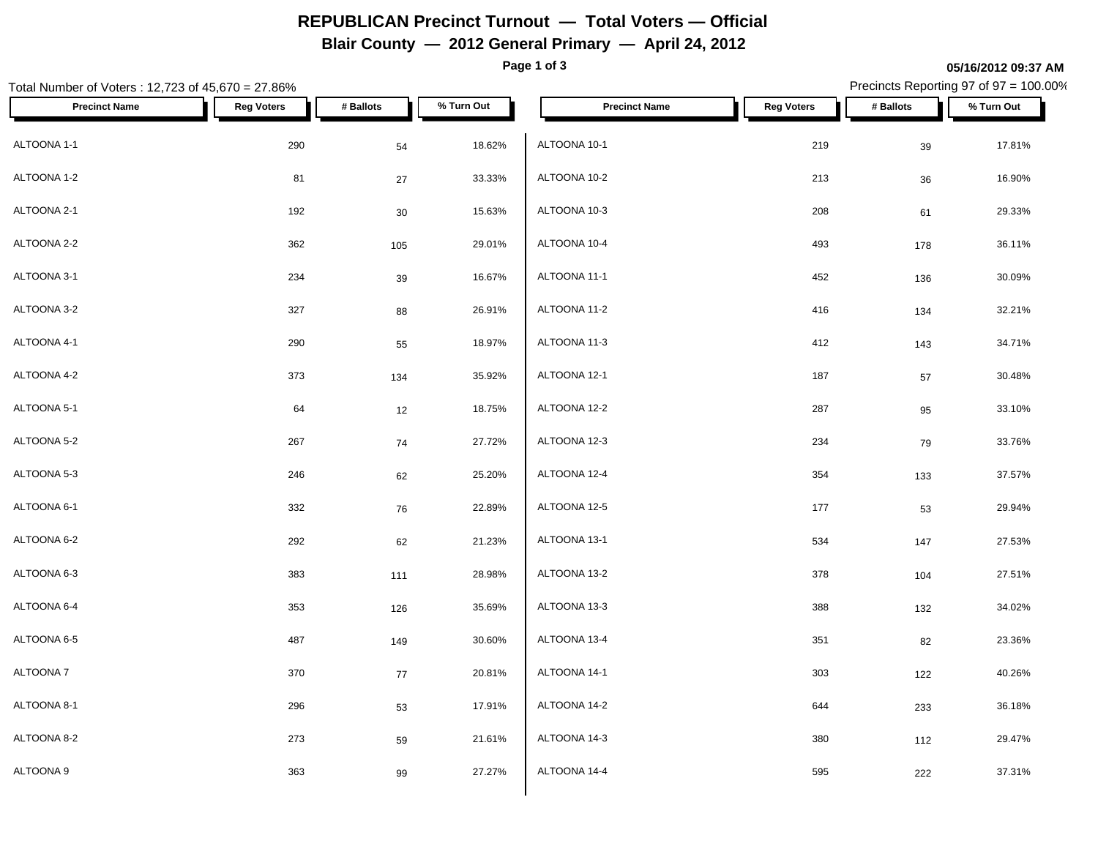# **REPUBLICAN Precinct Turnout — Total Voters — Official**

#### **Blair County — 2012 General Primary — April 24, 2012**

**Page 1 of 3**

#### Total Number of Voters : 12,723 of 45,670 = 27.86% Precincts Reporting 97 of 97 = 100.00% **Precinct Name Reg Voters # Ballots % Turn Out Precinct Name Reg Voters # Ballots % Turn Out** ALTOONA 1-1 290 54 18.62% ALTOONA 1-2  $\begin{array}{ccccccc} 81 & 27 & 33.33\% & ALTOONA 10-2 \end{array}$ ALTOONA 2-1 192 30 15.63% ALTOONA 2-2 362 105 29.01% ALTOONA 3-1 234 39 16.67% ALTOONA 3-2 327 88 26.91% ALTOONA 4-1 290 55 18.97% ALTOONA 4-2 373 134 35.92% ALTOONA 5-1 64 12 18.75% ALTOONA 5-2 267 74 27.72% ALTOONA 5-3 246 62 25.20% ALTOONA 6-1 332 76 22.89%  $\textsf{ALTOONA 6-2} \quad \textcolor{red}{\textsf{A}\textsf{LTOONA 13-1}} \quad \textcolor{red}{\textsf{A}\textsf{LTOONA 13-1}}$ ALTOONA 6-3 383 111 28.98% ALTOONA 6-4 353 126 35.69% ALTOONA 6-5 487 149 30.60% ALTOONA 7 370 77 20.81% ALTOONA 8-1 296 53 17.91% ALTOONA 8-2 273 59 21.61%  $\,$ ALTOONA 9 $\,$  363  $\,$  99  $\,$  27.27%  $\,$   $\,$  ALTOONA 14-4  $\,$ ALTOONA 10-1 219 39 17.81%  $ALTOONA$  10-2 213 36 16.90%  $ALTOONA$  10-3 208 61 29.33% ALTOONA 10-4 493 178 36.11% ALTOONA 11-1 452 136 30.09% ALTOONA 11-2 416 134 32.21% ALTOONA 11-3 2008 2009 2009 2012 2022 2030 20412 20412 2043 204.71% ALTOONA 12-1 187 57 30.48% ALTOONA 12-2 287 95 33.10% ALTOONA 12-3 234 79 33.76% ALTOONA 12-4 354 133 37.57% ALTOONA 12-5 177 177 1890 177 1890 177 1890 1891 1891 1892 1994 1994 1995 1996 1997 1898 1899 1899 1899 189 ALTOONA 13-1 534 147 27.53% ALTOONA 13-2 378 104 27.51% ALTOONA 13-3 388 132 34.02%  $\rm ALTOONA\,\,13-4$   $\rm 351$   $\rm 82$   $\rm 23.36\%$ ALTOONA 14-1 303 122 40.26% ALTOONA 14-2 644 233 36.18% ALTOONA 14-3 380 112 29.47% ALTOONA 14-4 595 222 37.31%

**05/16/2012 09:37 AM**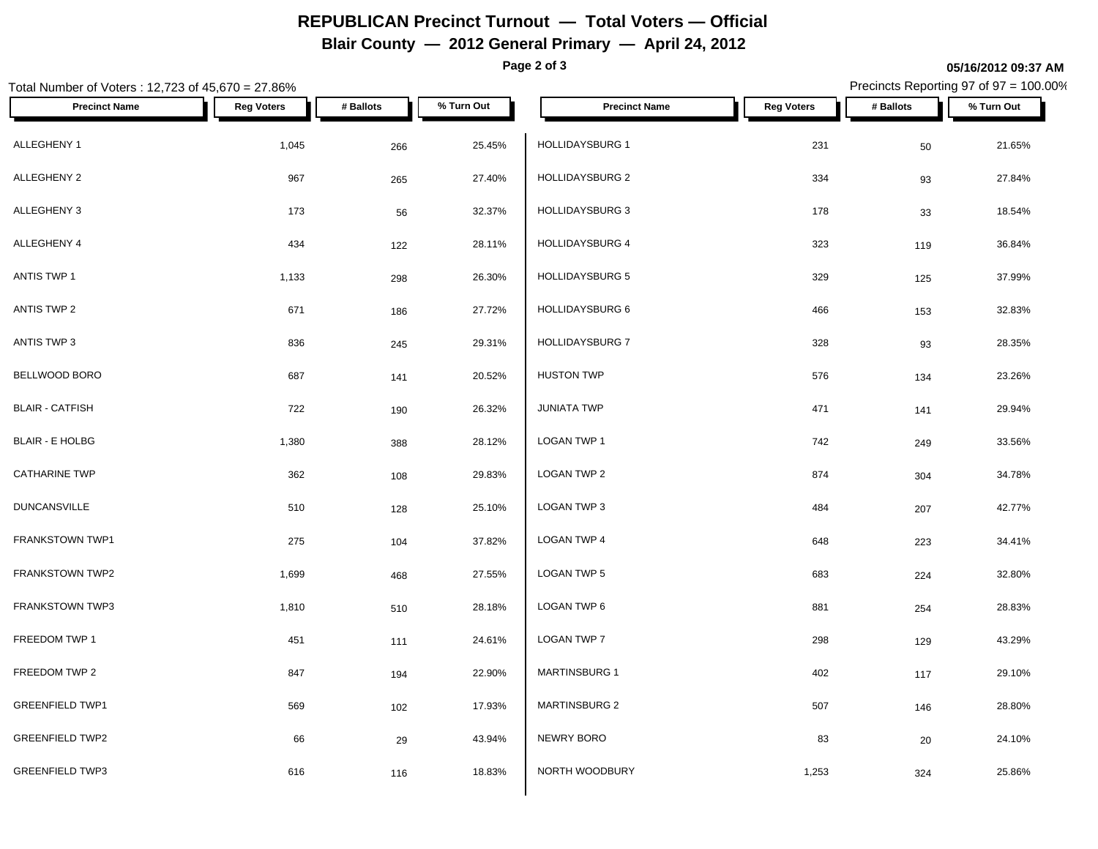# **REPUBLICAN Precinct Turnout — Total Voters — Official**

**Blair County — 2012 General Primary — April 24, 2012**

**Page 2 of 3**

### Total Number of Voters : 12,723 of 45,670 = 27.86% Precincts Reporting 97 of 97 = 100.00% **Precinct Name Reg Voters # Ballots % Turn Out Precinct Name Reg Voters # Ballots % Turn Out** ALLEGHENY 1 1,045 266 25.45% HOLLIDAYSBURG 1 ALLEGHENY 2 967 265 27.40% | HOLLIDAYSBURG 2 334 27.84% ALLEGHENY 3 173 <sub>56</sub> 32.37% <mark> HOLLIDAYSBURG 3 178</mark> 18.54% ALLEGHENY 4 434 122 28.11% ANTIS TWP 1 1,133 298 26.30% HOLLIDAYSBURG 5 329 37.99% ANTIS TWP 2 671 186 27.72% HOLLIDAYSBURG 6 466 153 32.83% ANTIS TWP 3 836 29.31% 245 29.31% HOLLIDAYSBURG 7 BELLWOOD BORO 687 141 20.52% BLAIR - CATFISH 722 190 26.32% BLAIR - E HOLBG 1,380 388 28.12% LOGAN TWP 1  $\textsf{CATHARINE}$  TWP  $\begin{array}{ccccccc} 362 & & & & 108 & & 29.83\% & & \textsf{LOGAN} \end{array}$  LOGAN TWP 2 DUNCANSVILLE 510 128 25.10% FRANKSTOWN TWP1 275 2001 2003 104 37.82% LOGAN TWP 4 FRANKSTOWN TWP2 1,699 468 27.55% LOGAN TWP 5 FRANKSTOWN TWP3 1,810 510 28.18% LOGAN TWP 6 FREEDOM TWP 1  $\begin{array}{ccccccc} & 451 & & & 111 & & 24.61\% & & \text{LOGAN TWP 7} \end{array}$ FREEDOM TWP 2 847 194 22.90% MARTINSBURG 1 GREENFIELD TWP1 **569** 569 102 17.93% MARTINSBURG 2 GREENFIELD TWP2 66 29 43.94% NEWRY BORO GREENFIELD TWP3 616 116 18.83% NORTH WOODBURY  $HOLLIDAYSBURG$  1 21.65% HOLLIDAYSBURG 4 323 119 36.84% HOLLIDAYSBURG 7 328 93 28.35%  $H$ USTON TWP  $H$  and  $H$  and  $H$  and  $H$   $=$   $134$   $134$   $23.26\%$  $JUNIATA$  TWP  $471$   $141$   $29.94\%$ LOGAN TWP 1 742 249 33.56%  $\textsf{LOGAN}$  TWP 2 874 304 34.78% LOGAN TWP 3 484 207 42.77%  $\,$  LOGAN TWP 4  $\,$  648  $\,$  223  $\,$  34.41%  $\,$  $\textsf{\small LOGAN\,TWP\,5}\quad{683} \quad\quad{224}\quad{32.80\%}$ LOGAN TWP 6 881 254 28.83%  $\textsf{\small LOGAN\,TWP\,7}\qquad \qquad 298\qquad \qquad 129\qquad \qquad 43.29\%$ MARTINSBURG 1 402 117 29.10%  $MARTINSBURG 2$  507 146 28.80% NEWRY BORO  $83$   $20$   $24.10\%$ NORTH WOODBURY **1,253** 324 25.86%

#### **05/16/2012 09:37 AM**